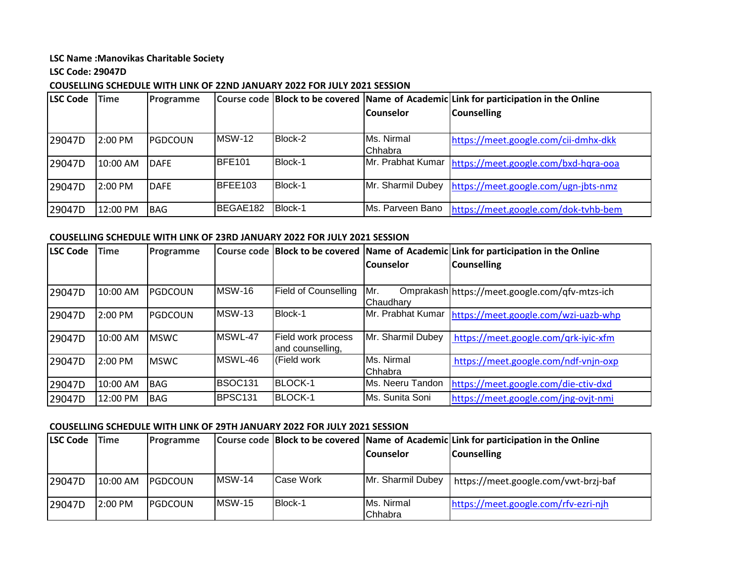#### **LSC Name :Manovikas Charitable Society**

## **LSC Code: 29047D**

## **COUSELLING SCHEDULE WITH LINK OF 22ND JANUARY 2022 FOR JULY 2021 SESSION**

| <b>LSC Code</b> | <b>Time</b> | Programme   |               |                |                    | Course code Block to be covered Name of Academic Link for participation in the Online |
|-----------------|-------------|-------------|---------------|----------------|--------------------|---------------------------------------------------------------------------------------|
|                 |             |             |               |                | <b>Counselor</b>   | <b>Counselling</b>                                                                    |
|                 |             |             |               |                |                    |                                                                                       |
| 29047D          | 2:00 PM     | IPGDCOUN    | <b>MSW-12</b> | Block-2        | <b>IMs. Nirmal</b> | https://meet.google.com/cii-dmhx-dkk                                                  |
|                 |             |             |               |                | Chhabra            |                                                                                       |
| 29047D          | 10:00 AM    | <b>DAFE</b> | <b>BFE101</b> | Block-1        |                    | Mr. Prabhat Kumar   https://meet.google.com/bxd-hqra-ooa                              |
|                 |             |             |               |                |                    |                                                                                       |
| 29047D          | 2:00 PM     | <b>DAFE</b> | BFEE103       | <b>Block-1</b> | Mr. Sharmil Dubey  | https://meet.google.com/ugn-jbts-nmz                                                  |
|                 |             |             |               |                |                    |                                                                                       |
| 29047D          | 12:00 PM    | <b>BAG</b>  | BEGAE182      | Block-1        | Ms. Parveen Bano   | https://meet.google.com/dok-tvhb-bem                                                  |

# **COUSELLING SCHEDULE WITH LINK OF 23RD JANUARY 2022 FOR JULY 2021 SESSION**

| <b>LSC Code</b> | <b>Time</b> | Programme   |                     |                             |                    | Course code Block to be covered Name of Academic Link for participation in the Online |
|-----------------|-------------|-------------|---------------------|-----------------------------|--------------------|---------------------------------------------------------------------------------------|
|                 |             |             |                     |                             | lCounselor         | <b>Counselling</b>                                                                    |
|                 |             |             |                     |                             |                    |                                                                                       |
| 29047D          | 10:00 AM    | PGDCOUN     | <b>MSW-16</b>       | <b>Field of Counselling</b> | Mr.                | Omprakash https://meet.google.com/qfv-mtzs-ich                                        |
|                 |             |             |                     |                             | <b>IChaudharv</b>  |                                                                                       |
| 29047D          | 2:00 PM     | PGDCOUN     | <b>MSW-13</b>       | Block-1                     |                    | Mr. Prabhat Kumar https://meet.google.com/wzi-uazb-whp                                |
|                 |             |             |                     |                             |                    |                                                                                       |
| 29047D          | 10:00 AM    | <b>MSWC</b> | MSWL-47             | Field work process          | Mr. Sharmil Dubey  | https://meet.google.com/qrk-iyic-xfm                                                  |
|                 |             |             |                     | and counselling,            |                    |                                                                                       |
| 29047D          | 2:00 PM     | <b>MSWC</b> | MSWL-46             | Field work                  | <b>IMs. Nirmal</b> | https://meet.google.com/ndf-vnjn-oxp                                                  |
|                 |             |             |                     |                             | <b>I</b> Chhabra   |                                                                                       |
| 29047D          | 10:00 AM    | <b>BAG</b>  | BSOC <sub>131</sub> | <b>BLOCK-1</b>              | Ms. Neeru Tandon   | https://meet.google.com/die-ctiv-dxd                                                  |
| 29047D          | 12:00 PM    | <b>BAG</b>  | BPSC131             | <b>BLOCK-1</b>              | Ms. Sunita Soni    | https://meet.google.com/jng-ovjt-nmi                                                  |

### **COUSELLING SCHEDULE WITH LINK OF 29TH JANUARY 2022 FOR JULY 2021 SESSION**

| <b>LSC Code</b> | <b>Time</b> | Programme       |                |           |                       | Course code Block to be covered Name of Academic Link for participation in the Online |
|-----------------|-------------|-----------------|----------------|-----------|-----------------------|---------------------------------------------------------------------------------------|
|                 |             |                 |                |           | lCounselor            | Counselling                                                                           |
|                 |             |                 |                |           |                       |                                                                                       |
| 29047D          | 10:00 AM    | <b>IPGDCOUN</b> | <b>IMSW-14</b> | Case Work | Mr. Sharmil Dubey     | https://meet.google.com/vwt-brzj-baf                                                  |
| 29047D          | $2:00$ PM   | <b>IPGDCOUN</b> | <b>IMSW-15</b> | Block-1   | Ms. Nirmal<br>Chhabra | https://meet.google.com/rfv-ezri-njh                                                  |